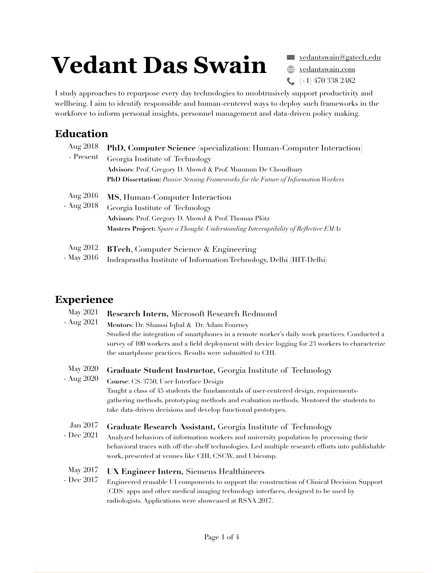# **Vedant Das Swain**

 $( +1)$  470 338 2482  $\leq$  yedantswain@gatech.edu **W** [vedantswain.com](http://vedantswain.com)

I study approaches to repurpose every day technologies to unobtrusively support productivity and wellbeing. I aim to identify responsible and human-centered ways to deploy such frameworks in the workforce to inform personal insights, personnel management and data-driven policy making.

## **Education**

| Aug 2018<br>- Present  | <b>PhD, Computer Science</b> (specialization: Human-Computer Interaction)<br>Georgia Institute of Technology<br>Advisors: Prof. Gregory D. Abowd & Prof. Munmun De Choudhury                                                                                                                                   |
|------------------------|----------------------------------------------------------------------------------------------------------------------------------------------------------------------------------------------------------------------------------------------------------------------------------------------------------------|
| Aug 2016<br>- Aug 2018 | PhD Dissertation: Passive Sensing Frameworks for the Future of Information Workers<br>MS, Human-Computer Interaction<br>Georgia Institute of Technology<br>Advisors: Prof. Gregory D. Abowd & Prof. Thomas Plötz<br><b>Masters Project:</b> Spare a Thought: Understanding Interruptibility of Reflective EMAs |
| Aug 2012<br>- May 2016 | <b>BTech, Computer Science &amp; Engineering</b><br>Indraprastha Institute of Information Technology, Delhi (IIIT-Delhi)                                                                                                                                                                                       |

### **Experience**

| <b>May 2021</b> | Research Intern, Microsoft Research Redmond                                                       |
|-----------------|---------------------------------------------------------------------------------------------------|
| - Aug 2021      | Mentors: Dr. Shamsi Iqbal & Dr. Adam Fourney                                                      |
|                 | Studied the integration of smartphones in a remote worker's daily work practices. Conducted a     |
|                 | survey of 100 workers and a field deployment with device logging for 23 workers to characterize   |
|                 | the smartphone practices. Results were submitted to CHI.                                          |
| <b>May 2020</b> | Graduate Student Instructor, Georgia Institute of Technology                                      |
| - Aug 2020      | Course: CS-3750, User Interface Design                                                            |
|                 | Taught a class of 45 students the fundamentals of user-centered design, requirements-             |
|                 | gathering methods, prototyping methods and evaluation methods. Mentored the students to           |
|                 | take data-driven decisions and develop functional prototypes.                                     |
| Jan 2017        | Graduate Research Assistant, Georgia Institute of Technology                                      |
| - Dec 2021      | Analyzed behaviors of information workers and university population by processing their           |
|                 | behavioral traces with off-the-shelf technologies. Led multiple research efforts into publishable |
|                 | work, presented at venues like CHI, CSCW, and Ubicomp.                                            |
| May 2017        | UX Engineer Intern, Siemens Healthineers                                                          |
| - Dec 2017      | Engineered reusable UI components to support the construction of Clinical Decision Support        |
|                 | (CDS) apps and other medical imaging technology interfaces, designed to be used by                |
|                 | radiologists. Applications were showcased at RSNA 2017.                                           |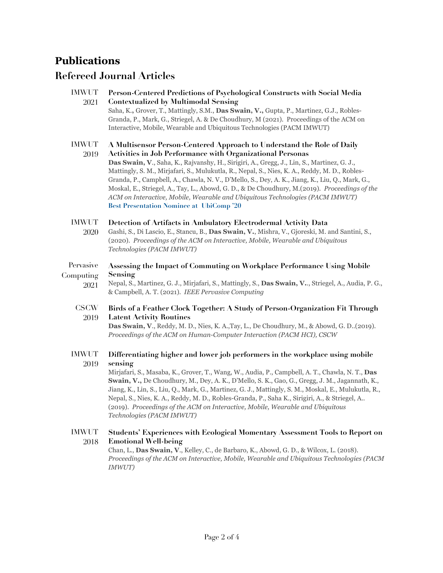### **Publications**

### **Refereed Journal Articles**

| <b>IMWUT</b><br>2021 | Person-Centered Predictions of Psychological Constructs with Social Media<br><b>Contextualized by Multimodal Sensing</b><br>Saha, K., Grover, T., Mattingly, S.M., Das Swain, V., Gupta, P., Martinez, G.J., Robles-<br>Granda, P., Mark, G., Striegel, A. & De Choudhury, M (2021). Proceedings of the ACM on<br>Interactive, Mobile, Wearable and Ubiquitous Technologies (PACM IMWUT)                                                                                                                                                                                                                                                                                           |
|----------------------|------------------------------------------------------------------------------------------------------------------------------------------------------------------------------------------------------------------------------------------------------------------------------------------------------------------------------------------------------------------------------------------------------------------------------------------------------------------------------------------------------------------------------------------------------------------------------------------------------------------------------------------------------------------------------------|
| <b>IMWUT</b><br>2019 | A Multisensor Person-Centered Approach to Understand the Role of Daily<br><b>Activities in Job Performance with Organizational Personas</b><br>Das Swain, V., Saha, K., Rajvanshy, H., Sirigiri, A., Gregg, J., Lin, S., Martinez, G. J.,<br>Mattingly, S. M., Mirjafari, S., Mulukutla, R., Nepal, S., Nies, K. A., Reddy, M. D., Robles-<br>Granda, P., Campbell, A., Chawla, N. V., D'Mello, S., Dey, A. K., Jiang, K., Liu, Q., Mark, G.,<br>Moskal, E., Striegel, A., Tay, L., Abowd, G. D., & De Choudhury, M.(2019). Proceedings of the<br>ACM on Interactive, Mobile, Wearable and Ubiquitous Technologies (PACM IMWUT)<br><b>Best Presentation Nominee at UbiComp '20</b> |
| <b>IMWUT</b><br>2020 | Detection of Artifacts in Ambulatory Electrodermal Activity Data<br>Gashi, S., Di Lascio, E., Stancu, B., Das Swain, V., Mishra, V., Gjoreski, M. and Santini, S.,<br>(2020). Proceedings of the ACM on Interactive, Mobile, Wearable and Ubiquitous<br>Technologies (PACM IMWUT)                                                                                                                                                                                                                                                                                                                                                                                                  |
| Pervasive            | Assessing the Impact of Commuting on Workplace Performance Using Mobile                                                                                                                                                                                                                                                                                                                                                                                                                                                                                                                                                                                                            |
| Computing<br>2021    | Sensing<br>Nepal, S., Martinez, G. J., Mirjafari, S., Mattingly, S., Das Swain, V, Striegel, A., Audia, P. G.,<br>& Campbell, A. T. (2021). IEEE Pervasive Computing                                                                                                                                                                                                                                                                                                                                                                                                                                                                                                               |
| <b>CSCW</b>          | Birds of a Feather Clock Together: A Study of Person-Organization Fit Through                                                                                                                                                                                                                                                                                                                                                                                                                                                                                                                                                                                                      |
| 2019                 | <b>Latent Activity Routines</b><br>Das Swain, V., Reddy, M. D., Nies, K. A., Tay, L., De Choudhury, M., & Abowd, G. D. (2019).<br>Proceedings of the ACM on Human-Computer Interaction (PACM HCI), CSCW                                                                                                                                                                                                                                                                                                                                                                                                                                                                            |
| <b>IMWUT</b>         | Differentiating higher and lower job performers in the workplace using mobile<br>sensing                                                                                                                                                                                                                                                                                                                                                                                                                                                                                                                                                                                           |
| 2019                 | Mirjafari, S., Masaba, K., Grover, T., Wang, W., Audia, P., Campbell, A. T., Chawla, N. T., Das<br>Swain, V., De Choudhury, M., Dey, A. K., D'Mello, S. K., Gao, G., Gregg, J. M., Jagannath, K.,<br>Jiang, K., Lin, S., Liu, Q., Mark, G., Martinez, G. J., Mattingly, S. M., Moskal, E., Mulukutla, R.,<br>Nepal, S., Nies, K. A., Reddy, M. D., Robles-Granda, P., Saha K., Sirigiri, A., & Striegel, A<br>(2019). Proceedings of the ACM on Interactive, Mobile, Wearable and Ubiquitous<br>Technologies (PACM IMWUT)                                                                                                                                                          |

**Students' Experiences with Ecological Momentary Assessment Tools to Report on Emotional Well-being** IMWUT 2018

Chan, L., **Das Swain, V**., Kelley, C., de Barbaro, K., Abowd, G. D., & Wilcox, L. (2018). *Proceedings of the ACM on Interactive, Mobile, Wearable and Ubiquitous Technologies (PACM IMWUT)*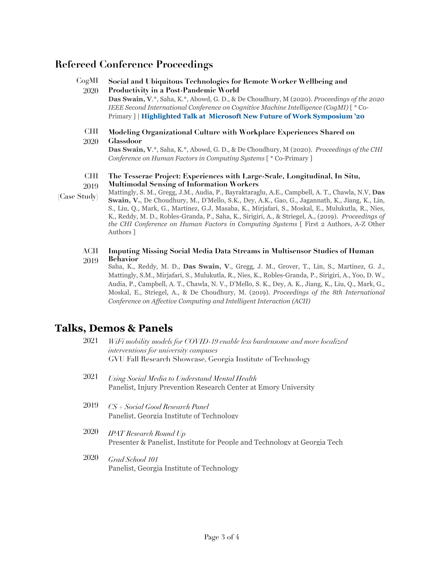### **Refereed Conference Proceedings**

| CogMI | Social and Ubiquitous Technologies for Remote Worker Wellbeing and                                 |
|-------|----------------------------------------------------------------------------------------------------|
| 2020  | Productivity in a Post-Pandemic World                                                              |
|       | <b>Das Swain, V.*</b> , Saha, K.*, Abowd, G. D., & De Choudhury, M (2020). Proceedings of the 2020 |
|       | IEEE Second International Conference on Cognitive Machine Intelligence (CogMI) $\uparrow$ * Co-    |
|       | Primary     Highlighted Talk at Microsoft New Future of Work Symposium '20                         |
|       |                                                                                                    |
| CHT.  | Modeling Organizational Culture with Workplace Experiences Shared on                               |
| 2020  | <b>Glassdoor</b>                                                                                   |

**Das Swain, V**.\*, Saha, K.\*, Abowd, G. D., & De Choudhury, M (2020). *Proceedings of the CHI Conference on Human Factors in Computing Systems* [ \* Co-Primary ]

#### **The Tesserae Project: Experiences with Large-Scale, Longitudinal, In Situ, Multimodal Sensing of Information Workers** CHI 2019

- Mattingly, S. M., Gregg, J.M., Audia, P., Bayraktaraglu, A.E., Campbell, A. T., Chawla, N.V, **Das Swain, V.**, De Choudhury, M., D'Mello, S.K., Dey, A.K., Gao, G., Jagannath, K., Jiang, K., Lin, S., Liu, Q., Mark, G., Martinez, G.J, Masaba, K., Mirjafari, S., Moskal, E., Mulukutla, R., Nies, K., Reddy, M. D., Robles-Granda, P., Saha, K., Sirigiri, A., & Striegel, A., (2019). *Proceedings of the CHI Conference on Human Factors in Computing Systems* [ First 2 Authors, A-Z Other Authors ] (Case Study)
	- **Imputing Missing Social Media Data Streams in Multisensor Studies of Human Behavior** ACII 2019
		- Saha, K., Reddy, M. D., **Das Swain, V**., Gregg, J. M., Grover, T., Lin, S., Martinez, G. J., Mattingly, S.M., Mirjafari, S., Mulukutla, R., Nies, K., Robles-Granda, P., Sirigiri, A., Yoo, D. W., Audia, P., Campbell, A. T., Chawla, N. V., D'Mello, S. K., Dey, A. K., Jiang, K., Liu, Q., Mark, G., Moskal, E., Striegel, A., & De Choudhury, M. (2019). *Proceedings of the 8th International Conference on Affective Computing and Intelligent Interaction (ACII)*

### **Talks, Demos & Panels**

| 2021 | WiFi mobility models for COVID-19 enable less burdensome and more localized |
|------|-----------------------------------------------------------------------------|
|      | interventions for university campuses                                       |
|      | GVU Fall Research Showcase, Georgia Institute of Technology                 |

- *Using Social Media to Understand Mental Health* Panelist, Injury Prevention Research Center at Emory University 2021
- *CS + Social Good Research Panel* Panelist, Georgia Institute of Technology 2019
- *IPAT Research Round Up* Presenter & Panelist, Institute for People and Technology at Georgia Tech 2020
- *Grad School 101* Panelist, Georgia Institute of Technology 2020